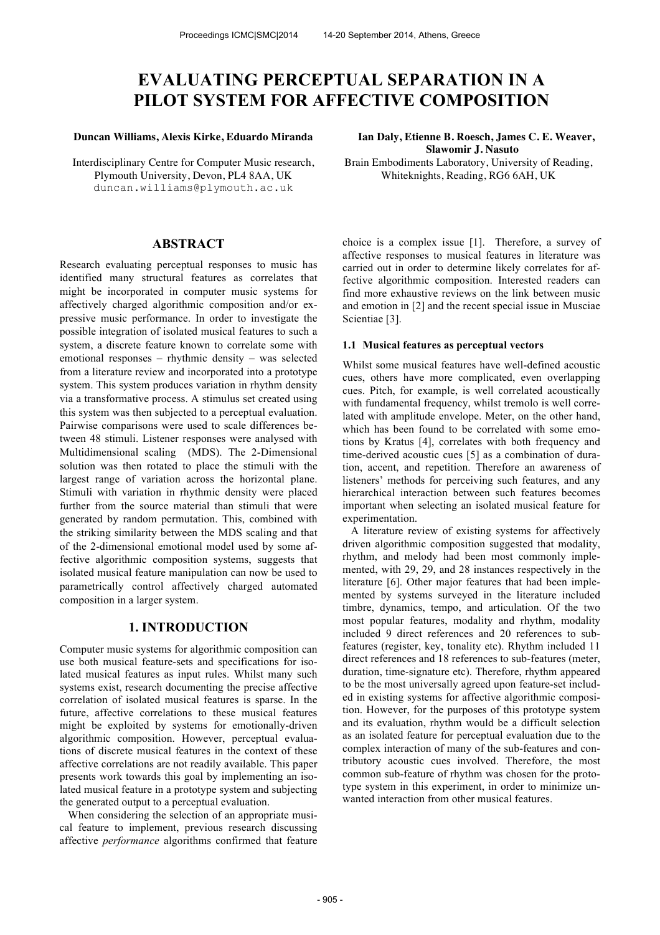# **EVALUATING PERCEPTUAL SEPARATION IN A PILOT SYSTEM FOR AFFECTIVE COMPOSITION**

#### **Duncan Williams, Alexis Kirke, Eduardo Miranda Ian Daly, Etienne B. Roesch, James C. E. Weaver,**

Interdisciplinary Centre for Computer Music research, Plymouth University, Devon, PL4 8AA, UK duncan.williams@plymouth.ac.uk

# **ABSTRACT**

Research evaluating perceptual responses to music has identified many structural features as correlates that might be incorporated in computer music systems for affectively charged algorithmic composition and/or expressive music performance. In order to investigate the possible integration of isolated musical features to such a system, a discrete feature known to correlate some with emotional responses – rhythmic density – was selected from a literature review and incorporated into a prototype system. This system produces variation in rhythm density via a transformative process. A stimulus set created using this system was then subjected to a perceptual evaluation. Pairwise comparisons were used to scale differences between 48 stimuli. Listener responses were analysed with Multidimensional scaling (MDS). The 2-Dimensional solution was then rotated to place the stimuli with the largest range of variation across the horizontal plane. Stimuli with variation in rhythmic density were placed further from the source material than stimuli that were generated by random permutation. This, combined with the striking similarity between the MDS scaling and that of the 2-dimensional emotional model used by some affective algorithmic composition systems, suggests that isolated musical feature manipulation can now be used to parametrically control affectively charged automated composition in a larger system.

# **1. INTRODUCTION**

Computer music systems for algorithmic composition can use both musical feature-sets and specifications for isolated musical features as input rules. Whilst many such systems exist, research documenting the precise affective correlation of isolated musical features is sparse. In the future, affective correlations to these musical features might be exploited by systems for emotionally-driven algorithmic composition. However, perceptual evaluations of discrete musical features in the context of these affective correlations are not readily available. This paper presents work towards this goal by implementing an isolated musical feature in a prototype system and subjecting the generated output to a perceptual evaluation.

 When considering the selection of an appropriate musical feature to implement, previous research discussing affective *performance* algorithms confirmed that feature **Slawomir J. Nasuto**

Brain Embodiments Laboratory, University of Reading, Whiteknights, Reading, RG6 6AH, UK

choice is a complex issue [1]. Therefore, a survey of affective responses to musical features in literature was carried out in order to determine likely correlates for affective algorithmic composition. Interested readers can find more exhaustive reviews on the link between music and emotion in [2] and the recent special issue in Musciae Scientiae [3].

## **1.1 Musical features as perceptual vectors**

Whilst some musical features have well-defined acoustic cues, others have more complicated, even overlapping cues. Pitch, for example, is well correlated acoustically with fundamental frequency, whilst tremolo is well correlated with amplitude envelope. Meter, on the other hand, which has been found to be correlated with some emotions by Kratus [4], correlates with both frequency and time-derived acoustic cues [5] as a combination of duration, accent, and repetition. Therefore an awareness of listeners' methods for perceiving such features, and any hierarchical interaction between such features becomes important when selecting an isolated musical feature for experimentation.

 A literature review of existing systems for affectively driven algorithmic composition suggested that modality, rhythm, and melody had been most commonly implemented, with 29, 29, and 28 instances respectively in the literature [6]. Other major features that had been implemented by systems surveyed in the literature included timbre, dynamics, tempo, and articulation. Of the two most popular features, modality and rhythm, modality included 9 direct references and 20 references to subfeatures (register, key, tonality etc). Rhythm included 11 direct references and 18 references to sub-features (meter, duration, time-signature etc). Therefore, rhythm appeared to be the most universally agreed upon feature-set included in existing systems for affective algorithmic composition. However, for the purposes of this prototype system and its evaluation, rhythm would be a difficult selection as an isolated feature for perceptual evaluation due to the complex interaction of many of the sub-features and contributory acoustic cues involved. Therefore, the most common sub-feature of rhythm was chosen for the prototype system in this experiment, in order to minimize unwanted interaction from other musical features.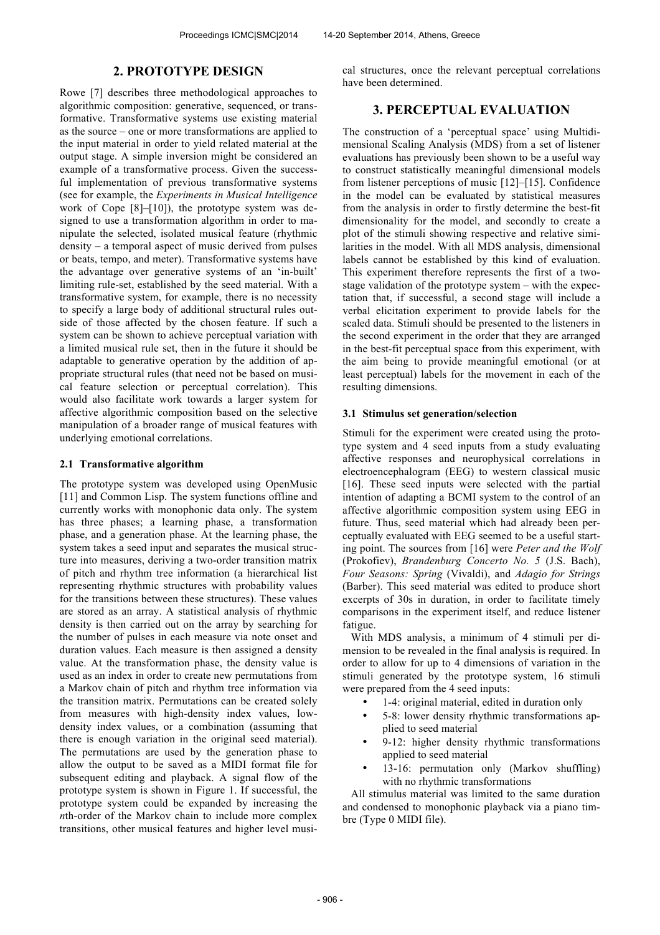## **2. PROTOTYPE DESIGN**

Rowe [7] describes three methodological approaches to algorithmic composition: generative, sequenced, or transformative. Transformative systems use existing material as the source – one or more transformations are applied to the input material in order to yield related material at the output stage. A simple inversion might be considered an example of a transformative process. Given the successful implementation of previous transformative systems (see for example, the *Experiments in Musical Intelligence*  work of Cope [8]–[10]), the prototype system was designed to use a transformation algorithm in order to manipulate the selected, isolated musical feature (rhythmic density – a temporal aspect of music derived from pulses or beats, tempo, and meter). Transformative systems have the advantage over generative systems of an 'in-built' limiting rule-set, established by the seed material. With a transformative system, for example, there is no necessity to specify a large body of additional structural rules outside of those affected by the chosen feature. If such a system can be shown to achieve perceptual variation with a limited musical rule set, then in the future it should be adaptable to generative operation by the addition of appropriate structural rules (that need not be based on musical feature selection or perceptual correlation). This would also facilitate work towards a larger system for affective algorithmic composition based on the selective manipulation of a broader range of musical features with underlying emotional correlations.

#### **2.1 Transformative algorithm**

The prototype system was developed using OpenMusic [11] and Common Lisp. The system functions offline and currently works with monophonic data only. The system has three phases; a learning phase, a transformation phase, and a generation phase. At the learning phase, the system takes a seed input and separates the musical structure into measures, deriving a two-order transition matrix of pitch and rhythm tree information (a hierarchical list representing rhythmic structures with probability values for the transitions between these structures). These values are stored as an array. A statistical analysis of rhythmic density is then carried out on the array by searching for the number of pulses in each measure via note onset and duration values. Each measure is then assigned a density value. At the transformation phase, the density value is used as an index in order to create new permutations from a Markov chain of pitch and rhythm tree information via the transition matrix. Permutations can be created solely from measures with high-density index values, lowdensity index values, or a combination (assuming that there is enough variation in the original seed material). The permutations are used by the generation phase to allow the output to be saved as a MIDI format file for subsequent editing and playback. A signal flow of the prototype system is shown in Figure 1. If successful, the prototype system could be expanded by increasing the *n*th-order of the Markov chain to include more complex transitions, other musical features and higher level musical structures, once the relevant perceptual correlations have been determined.

# **3. PERCEPTUAL EVALUATION**

The construction of a 'perceptual space' using Multidimensional Scaling Analysis (MDS) from a set of listener evaluations has previously been shown to be a useful way to construct statistically meaningful dimensional models from listener perceptions of music [12]–[15]. Confidence in the model can be evaluated by statistical measures from the analysis in order to firstly determine the best-fit dimensionality for the model, and secondly to create a plot of the stimuli showing respective and relative similarities in the model. With all MDS analysis, dimensional labels cannot be established by this kind of evaluation. This experiment therefore represents the first of a twostage validation of the prototype system – with the expectation that, if successful, a second stage will include a verbal elicitation experiment to provide labels for the scaled data. Stimuli should be presented to the listeners in the second experiment in the order that they are arranged in the best-fit perceptual space from this experiment, with the aim being to provide meaningful emotional (or at least perceptual) labels for the movement in each of the resulting dimensions.

#### **3.1 Stimulus set generation/selection**

Stimuli for the experiment were created using the prototype system and 4 seed inputs from a study evaluating affective responses and neurophysical correlations in electroencephalogram (EEG) to western classical music [16]. These seed inputs were selected with the partial intention of adapting a BCMI system to the control of an affective algorithmic composition system using EEG in future. Thus, seed material which had already been perceptually evaluated with EEG seemed to be a useful starting point. The sources from [16] were *Peter and the Wolf* (Prokofiev), *Brandenburg Concerto No. 5* (J.S. Bach), *Four Seasons: Spring* (Vivaldi), and *Adagio for Strings* (Barber). This seed material was edited to produce short excerpts of 30s in duration, in order to facilitate timely comparisons in the experiment itself, and reduce listener fatigue.

 With MDS analysis, a minimum of 4 stimuli per dimension to be revealed in the final analysis is required. In order to allow for up to 4 dimensions of variation in the stimuli generated by the prototype system, 16 stimuli were prepared from the 4 seed inputs:

- 1-4: original material, edited in duration only
- 5-8: lower density rhythmic transformations applied to seed material
- 9-12: higher density rhythmic transformations applied to seed material
- 13-16: permutation only (Markov shuffling) with no rhythmic transformations

 All stimulus material was limited to the same duration and condensed to monophonic playback via a piano timbre (Type 0 MIDI file).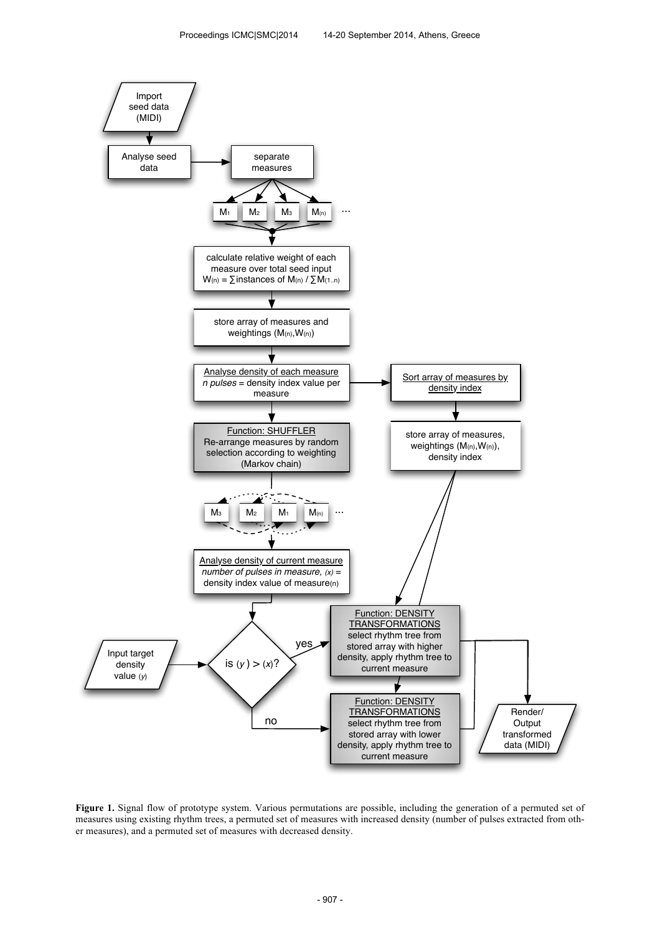

**Figure 1.** Signal flow of prototype system. Various permutations are possible, including the generation of a permuted set of measures using existing rhythm trees, a permuted set of measures with increased density (number of pulses extracted from other measures), and a permuted set of measures with decreased density.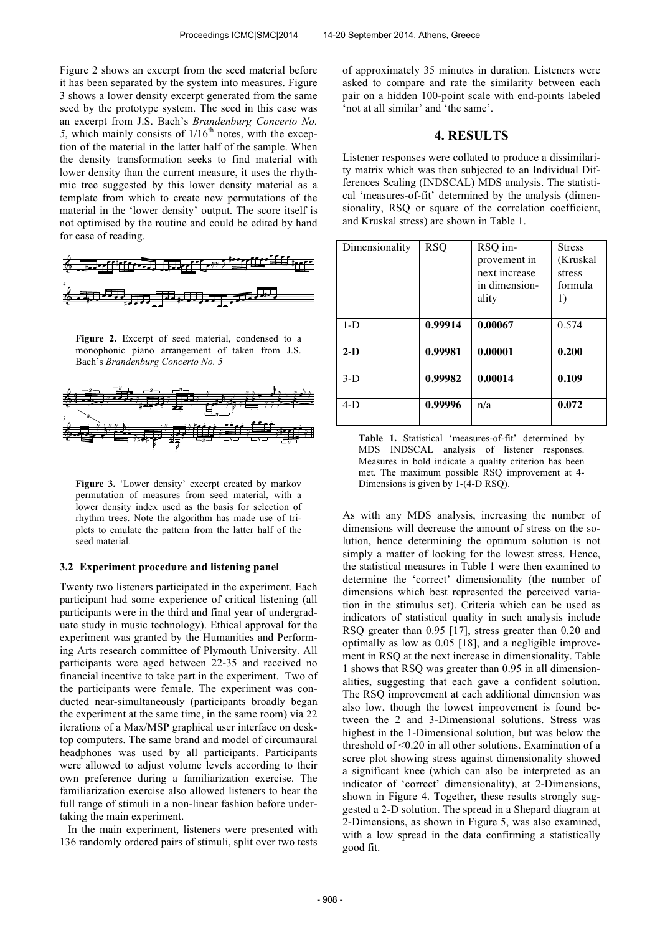Figure 2 shows an excerpt from the seed material before it has been separated by the system into measures. Figure 3 shows a lower density excerpt generated from the same seed by the prototype system. The seed in this case was an excerpt from J.S. Bach's *Brandenburg Concerto No.*   $5$ , which mainly consists of  $1/16<sup>th</sup>$  notes, with the exception of the material in the latter half of the sample. When the density transformation seeks to find material with lower density than the current measure, it uses the rhythmic tree suggested by this lower density material as a template from which to create new permutations of the material in the 'lower density' output. The score itself is not optimised by the routine and could be edited by hand for ease of reading.



**Figure 2.** Excerpt of seed material, condensed to a monophonic piano arrangement of taken from J.S. Bach's *Brandenburg Concerto No. 5*



Figure 3. 'Lower density' excerpt created by markov permutation of measures from seed material, with a lower density index used as the basis for selection of rhythm trees. Note the algorithm has made use of triplets to emulate the pattern from the latter half of the seed material.

#### **3.2 Experiment procedure and listening panel**

Twenty two listeners participated in the experiment. Each participant had some experience of critical listening (all participants were in the third and final year of undergraduate study in music technology). Ethical approval for the experiment was granted by the Humanities and Performing Arts research committee of Plymouth University. All participants were aged between 22-35 and received no financial incentive to take part in the experiment. Two of the participants were female. The experiment was conducted near-simultaneously (participants broadly began the experiment at the same time, in the same room) via 22 iterations of a Max/MSP graphical user interface on desktop computers. The same brand and model of circumaural headphones was used by all participants. Participants were allowed to adjust volume levels according to their own preference during a familiarization exercise. The familiarization exercise also allowed listeners to hear the full range of stimuli in a non-linear fashion before undertaking the main experiment.

 In the main experiment, listeners were presented with 136 randomly ordered pairs of stimuli, split over two tests of approximately 35 minutes in duration. Listeners were asked to compare and rate the similarity between each pair on a hidden 100-point scale with end-points labeled 'not at all similar' and 'the same'.

# **4. RESULTS**

Listener responses were collated to produce a dissimilarity matrix which was then subjected to an Individual Differences Scaling (INDSCAL) MDS analysis. The statistical 'measures-of-fit' determined by the analysis (dimensionality, RSQ or square of the correlation coefficient, and Kruskal stress) are shown in Table 1.

| Dimensionality | <b>RSQ</b> | RSQ im-<br>provement in<br>next increase<br>in dimension-<br>ality | <b>Stress</b><br>(Kruskal<br>stress<br>formula<br>1) |
|----------------|------------|--------------------------------------------------------------------|------------------------------------------------------|
| $1-D$          | 0.99914    | 0.00067                                                            | 0.574                                                |
| $2-D$          | 0.99981    | 0.00001                                                            | 0.200                                                |
| $3-D$          | 0.99982    | 0.00014                                                            | 0.109                                                |
| $4-D$          | 0.99996    | n/a                                                                | 0.072                                                |

Table 1. Statistical 'measures-of-fit' determined by MDS INDSCAL analysis of listener responses. Measures in bold indicate a quality criterion has been met. The maximum possible RSQ improvement at 4- Dimensions is given by 1-(4-D RSQ).

As with any MDS analysis, increasing the number of dimensions will decrease the amount of stress on the solution, hence determining the optimum solution is not simply a matter of looking for the lowest stress. Hence, the statistical measures in Table 1 were then examined to determine the 'correct' dimensionality (the number of dimensions which best represented the perceived variation in the stimulus set). Criteria which can be used as indicators of statistical quality in such analysis include RSQ greater than 0.95 [17], stress greater than 0.20 and optimally as low as 0.05 [18], and a negligible improvement in RSQ at the next increase in dimensionality. Table 1 shows that RSQ was greater than 0.95 in all dimensionalities, suggesting that each gave a confident solution. The RSQ improvement at each additional dimension was also low, though the lowest improvement is found between the 2 and 3-Dimensional solutions. Stress was highest in the 1-Dimensional solution, but was below the threshold of <0.20 in all other solutions. Examination of a scree plot showing stress against dimensionality showed a significant knee (which can also be interpreted as an indicator of 'correct' dimensionality), at 2-Dimensions, shown in Figure 4. Together, these results strongly suggested a 2-D solution. The spread in a Shepard diagram at 2-Dimensions, as shown in Figure 5, was also examined, with a low spread in the data confirming a statistically good fit.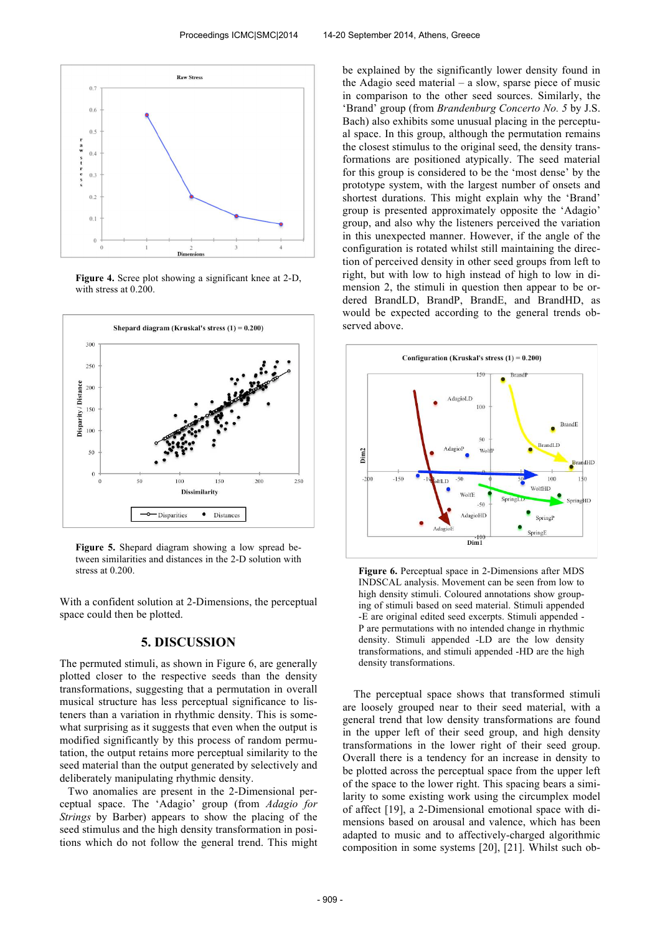

**Figure 4.** Scree plot showing a significant knee at 2-D, with stress at 0.200.



**Figure 5.** Shepard diagram showing a low spread between similarities and distances in the 2-D solution with stress at 0.200

With a confident solution at 2-Dimensions, the perceptual space could then be plotted.

## **5. DISCUSSION**

The permuted stimuli, as shown in Figure 6, are generally plotted closer to the respective seeds than the density transformations, suggesting that a permutation in overall musical structure has less perceptual significance to listeners than a variation in rhythmic density. This is somewhat surprising as it suggests that even when the output is modified significantly by this process of random permutation, the output retains more perceptual similarity to the seed material than the output generated by selectively and deliberately manipulating rhythmic density.

 Two anomalies are present in the 2-Dimensional perceptual space. The 'Adagio' group (from *Adagio for Strings* by Barber) appears to show the placing of the seed stimulus and the high density transformation in positions which do not follow the general trend. This might be explained by the significantly lower density found in the Adagio seed material – a slow, sparse piece of music in comparison to the other seed sources. Similarly, the 'Brand' group (from *Brandenburg Concerto No. 5* by J.S. Bach) also exhibits some unusual placing in the perceptual space. In this group, although the permutation remains the closest stimulus to the original seed, the density transformations are positioned atypically. The seed material for this group is considered to be the 'most dense' by the prototype system, with the largest number of onsets and shortest durations. This might explain why the 'Brand' group is presented approximately opposite the 'Adagio' group, and also why the listeners perceived the variation in this unexpected manner. However, if the angle of the configuration is rotated whilst still maintaining the direction of perceived density in other seed groups from left to right, but with low to high instead of high to low in dimension 2, the stimuli in question then appear to be ordered BrandLD, BrandP, BrandE, and BrandHD, as would be expected according to the general trends observed above.



**Figure 6.** Perceptual space in 2-Dimensions after MDS INDSCAL analysis. Movement can be seen from low to high density stimuli. Coloured annotations show grouping of stimuli based on seed material. Stimuli appended -E are original edited seed excerpts. Stimuli appended - P are permutations with no intended change in rhythmic density. Stimuli appended -LD are the low density transformations, and stimuli appended -HD are the high density transformations.

 The perceptual space shows that transformed stimuli are loosely grouped near to their seed material, with a general trend that low density transformations are found in the upper left of their seed group, and high density transformations in the lower right of their seed group. Overall there is a tendency for an increase in density to be plotted across the perceptual space from the upper left of the space to the lower right. This spacing bears a similarity to some existing work using the circumplex model of affect [19], a 2-Dimensional emotional space with dimensions based on arousal and valence, which has been adapted to music and to affectively-charged algorithmic composition in some systems [20], [21]. Whilst such ob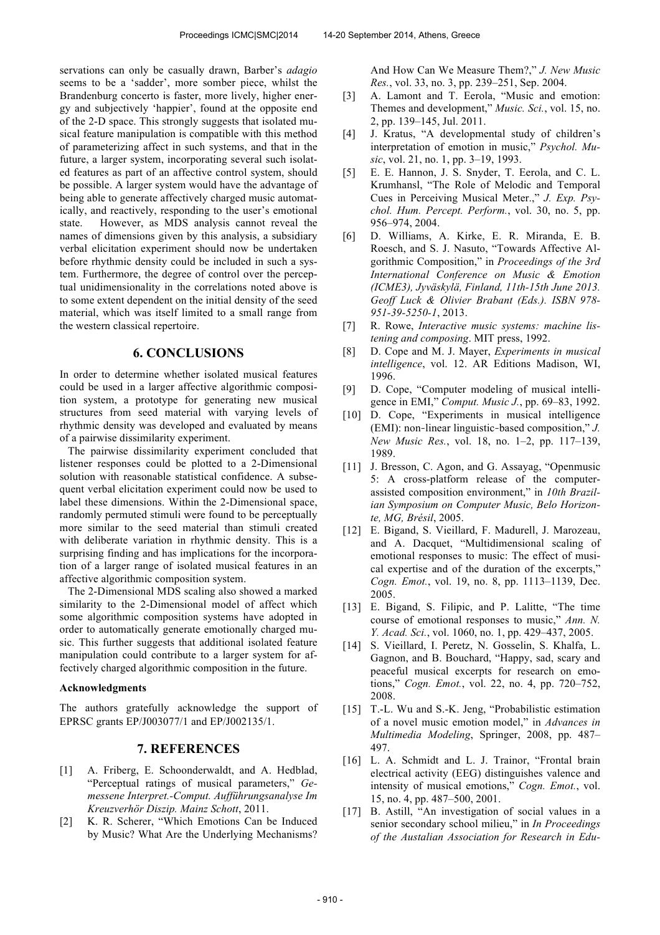servations can only be casually drawn, Barber's *adagio* seems to be a 'sadder', more somber piece, whilst the Brandenburg concerto is faster, more lively, higher energy and subjectively 'happier', found at the opposite end of the 2-D space. This strongly suggests that isolated musical feature manipulation is compatible with this method of parameterizing affect in such systems, and that in the future, a larger system, incorporating several such isolated features as part of an affective control system, should be possible. A larger system would have the advantage of being able to generate affectively charged music automatically, and reactively, responding to the user's emotional state. However, as MDS analysis cannot reveal the names of dimensions given by this analysis, a subsidiary verbal elicitation experiment should now be undertaken before rhythmic density could be included in such a system. Furthermore, the degree of control over the perceptual unidimensionality in the correlations noted above is to some extent dependent on the initial density of the seed material, which was itself limited to a small range from the western classical repertoire.

## **6. CONCLUSIONS**

In order to determine whether isolated musical features could be used in a larger affective algorithmic composition system, a prototype for generating new musical structures from seed material with varying levels of rhythmic density was developed and evaluated by means of a pairwise dissimilarity experiment.

 The pairwise dissimilarity experiment concluded that listener responses could be plotted to a 2-Dimensional solution with reasonable statistical confidence. A subsequent verbal elicitation experiment could now be used to label these dimensions. Within the 2-Dimensional space, randomly permuted stimuli were found to be perceptually more similar to the seed material than stimuli created with deliberate variation in rhythmic density. This is a surprising finding and has implications for the incorporation of a larger range of isolated musical features in an affective algorithmic composition system.

 The 2-Dimensional MDS scaling also showed a marked similarity to the 2-Dimensional model of affect which some algorithmic composition systems have adopted in order to automatically generate emotionally charged music. This further suggests that additional isolated feature manipulation could contribute to a larger system for affectively charged algorithmic composition in the future.

#### **Acknowledgments**

The authors gratefully acknowledge the support of EPRSC grants EP/J003077/1 and EP/J002135/1.

## **7. REFERENCES**

- [1] A. Friberg, E. Schoonderwaldt, and A. Hedblad, "Perceptual ratings of musical parameters," *Gemessene Interpret.-Comput. Aufführungsanalyse Im Kreuzverhör Diszip. Mainz Schott*, 2011.
- [2] K. R. Scherer, "Which Emotions Can be Induced by Music? What Are the Underlying Mechanisms?

And How Can We Measure Them?," *J. New Music Res.*, vol. 33, no. 3, pp. 239–251, Sep. 2004.

- [3] A. Lamont and T. Eerola, "Music and emotion: Themes and development," *Music. Sci.*, vol. 15, no. 2, pp. 139–145, Jul. 2011.
- [4] J. Kratus, "A developmental study of children's interpretation of emotion in music," *Psychol. Music*, vol. 21, no. 1, pp. 3–19, 1993.
- [5] E. E. Hannon, J. S. Snyder, T. Eerola, and C. L. Krumhansl, "The Role of Melodic and Temporal Cues in Perceiving Musical Meter.," *J. Exp. Psychol. Hum. Percept. Perform.*, vol. 30, no. 5, pp. 956–974, 2004.
- [6] D. Williams, A. Kirke, E. R. Miranda, E. B. Roesch, and S. J. Nasuto, "Towards Affective Algorithmic Composition," in *Proceedings of the 3rd International Conference on Music & Emotion (ICME3), Jyväskylä, Finland, 11th-15th June 2013. Geoff Luck & Olivier Brabant (Eds.). ISBN 978- 951-39-5250-1*, 2013.
- [7] R. Rowe, *Interactive music systems: machine listening and composing*. MIT press, 1992.
- [8] D. Cope and M. J. Mayer, *Experiments in musical intelligence*, vol. 12. AR Editions Madison, WI, 1996.
- [9] D. Cope, "Computer modeling of musical intelligence in EMI," *Comput. Music J.*, pp. 69–83, 1992.
- [10] D. Cope, "Experiments in musical intelligence (EMI): non‐linear linguistic‐based composition," *J. New Music Res.*, vol. 18, no. 1–2, pp. 117–139, 1989.
- [11] J. Bresson, C. Agon, and G. Assayag, "Openmusic 5: A cross-platform release of the computerassisted composition environment," in *10th Brazilian Symposium on Computer Music, Belo Horizonte, MG, Brésil*, 2005.
- [12] E. Bigand, S. Vieillard, F. Madurell, J. Marozeau, and A. Dacquet, "Multidimensional scaling of emotional responses to music: The effect of musical expertise and of the duration of the excerpts," *Cogn. Emot.*, vol. 19, no. 8, pp. 1113–1139, Dec. 2005.
- [13] E. Bigand, S. Filipic, and P. Lalitte, "The time course of emotional responses to music," *Ann. N. Y. Acad. Sci.*, vol. 1060, no. 1, pp. 429–437, 2005.
- [14] S. Vieillard, I. Peretz, N. Gosselin, S. Khalfa, L. Gagnon, and B. Bouchard, "Happy, sad, scary and peaceful musical excerpts for research on emotions," *Cogn. Emot.*, vol. 22, no. 4, pp. 720–752, 2008.
- [15] T.-L. Wu and S.-K. Jeng, "Probabilistic estimation of a novel music emotion model," in *Advances in Multimedia Modeling*, Springer, 2008, pp. 487– 497.
- [16] L. A. Schmidt and L. J. Trainor, "Frontal brain electrical activity (EEG) distinguishes valence and intensity of musical emotions," *Cogn. Emot.*, vol. 15, no. 4, pp. 487–500, 2001.
- [17] B. Astill, "An investigation of social values in a senior secondary school milieu," in *In Proceedings of the Austalian Association for Research in Edu-*